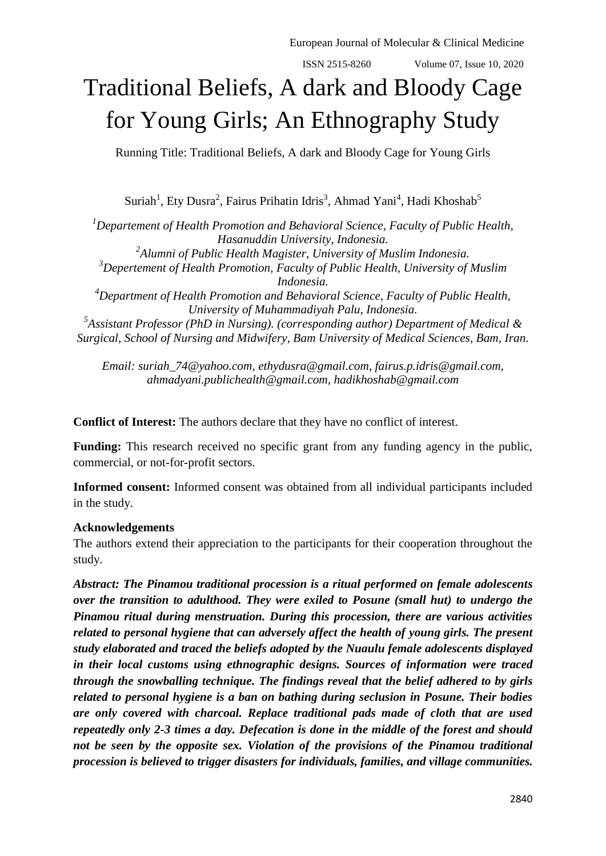# Traditional Beliefs, A dark and Bloody Cage for Young Girls; An Ethnography Study

Running Title: Traditional Beliefs, A dark and Bloody Cage for Young Girls

Suriah<sup>1</sup>, Ety Dusra<sup>2</sup>, Fairus Prihatin Idris<sup>3</sup>, Ahmad Yani<sup>4</sup>, Hadi Khoshab<sup>5</sup>

*<sup>1</sup>Departement of Health Promotion and Behavioral Science, Faculty of Public Health, Hasanuddin University, Indonesia. 2 Alumni of Public Health Magister, University of Muslim Indonesia. <sup>3</sup>Depertement of Health Promotion, Faculty of Public Health, University of Muslim Indonesia. <sup>4</sup>Department of Health Promotion and Behavioral Science, Faculty of Public Health, University of Muhammadiyah Palu, Indonesia. 5 Assistant Professor (PhD in Nursing). (corresponding author) Department of Medical & Surgical, School of Nursing and Midwifery, Bam University of Medical Sciences, Bam, Iran.* 

*Email: [suriah\\_74@yahoo.com,](mailto:suriah_74@yahoo.com) [ethydusra@gmail.com,](mailto:ethydusra@gmail.com) [fairus.p.idris@gmail.com,](mailto:fairus.p.idris@gmail.com) ahmadyani.publichealth@gmail.com, hadikhoshab@gmail.com*

**Conflict of Interest:** The authors declare that they have no conflict of interest.

**Funding:** This research received no specific grant from any funding agency in the public, commercial, or not-for-profit sectors.

**Informed consent:** Informed consent was obtained from all individual participants included in the study.

# **Acknowledgements**

The authors extend their appreciation to the participants for their cooperation throughout the study.

*Abstract: The Pinamou traditional procession is a ritual performed on female adolescents over the transition to adulthood. They were exiled to Posune (small hut) to undergo the Pinamou ritual during menstruation. During this procession, there are various activities related to personal hygiene that can adversely affect the health of young girls. The present study elaborated and traced the beliefs adopted by the Nuaulu female adolescents displayed in their local customs using ethnographic designs. Sources of information were traced through the snowballing technique. The findings reveal that the belief adhered to by girls related to personal hygiene is a ban on bathing during seclusion in Posune. Their bodies are only covered with charcoal. Replace traditional pads made of cloth that are used repeatedly only 2-3 times a day. Defecation is done in the middle of the forest and should not be seen by the opposite sex. Violation of the provisions of the Pinamou traditional procession is believed to trigger disasters for individuals, families, and village communities.*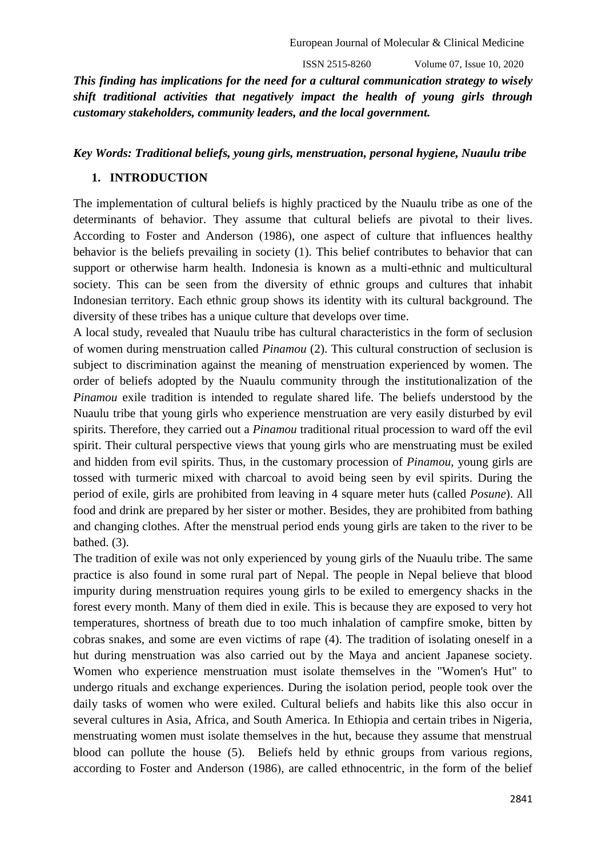ISSN 2515-8260 Volume 07, Issue 10, 2020

*This finding has implications for the need for a cultural communication strategy to wisely shift traditional activities that negatively impact the health of young girls through customary stakeholders, community leaders, and the local government.*

# *Key Words: Traditional beliefs, young girls, menstruation, personal hygiene, Nuaulu tribe*

# **1. INTRODUCTION**

The implementation of cultural beliefs is highly practiced by the Nuaulu tribe as one of the determinants of behavior. They assume that cultural beliefs are pivotal to their lives. According to Foster and Anderson (1986), one aspect of culture that influences healthy behavior is the beliefs prevailing in society (1). This belief contributes to behavior that can support or otherwise harm health. Indonesia is known as a multi-ethnic and multicultural society. This can be seen from the diversity of ethnic groups and cultures that inhabit Indonesian territory. Each ethnic group shows its identity with its cultural background. The diversity of these tribes has a unique culture that develops over time.

A local study, revealed that Nuaulu tribe has cultural characteristics in the form of seclusion of women during menstruation called *Pinamou* (2). This cultural construction of seclusion is subject to discrimination against the meaning of menstruation experienced by women. The order of beliefs adopted by the Nuaulu community through the institutionalization of the *Pinamou* exile tradition is intended to regulate shared life. The beliefs understood by the Nuaulu tribe that young girls who experience menstruation are very easily disturbed by evil spirits. Therefore, they carried out a *Pinamou* traditional ritual procession to ward off the evil spirit. Their cultural perspective views that young girls who are menstruating must be exiled and hidden from evil spirits. Thus, in the customary procession of *Pinamou,* young girls are tossed with turmeric mixed with charcoal to avoid being seen by evil spirits. During the period of exile, girls are prohibited from leaving in 4 square meter huts (called *Posune*). All food and drink are prepared by her sister or mother. Besides, they are prohibited from bathing and changing clothes. After the menstrual period ends young girls are taken to the river to be bathed. (3).

The tradition of exile was not only experienced by young girls of the Nuaulu tribe. The same practice is also found in some rural part of Nepal. The people in Nepal believe that blood impurity during menstruation requires young girls to be exiled to emergency shacks in the forest every month. Many of them died in exile. This is because they are exposed to very hot temperatures, shortness of breath due to too much inhalation of campfire smoke, bitten by cobras snakes, and some are even victims of rape (4). The tradition of isolating oneself in a hut during menstruation was also carried out by the Maya and ancient Japanese society. Women who experience menstruation must isolate themselves in the "Women's Hut" to undergo rituals and exchange experiences. During the isolation period, people took over the daily tasks of women who were exiled. Cultural beliefs and habits like this also occur in several cultures in Asia, Africa, and South America. In Ethiopia and certain tribes in Nigeria, menstruating women must isolate themselves in the hut, because they assume that menstrual blood can pollute the house (5). Beliefs held by ethnic groups from various regions, according to Foster and Anderson (1986), are called ethnocentric, in the form of the belief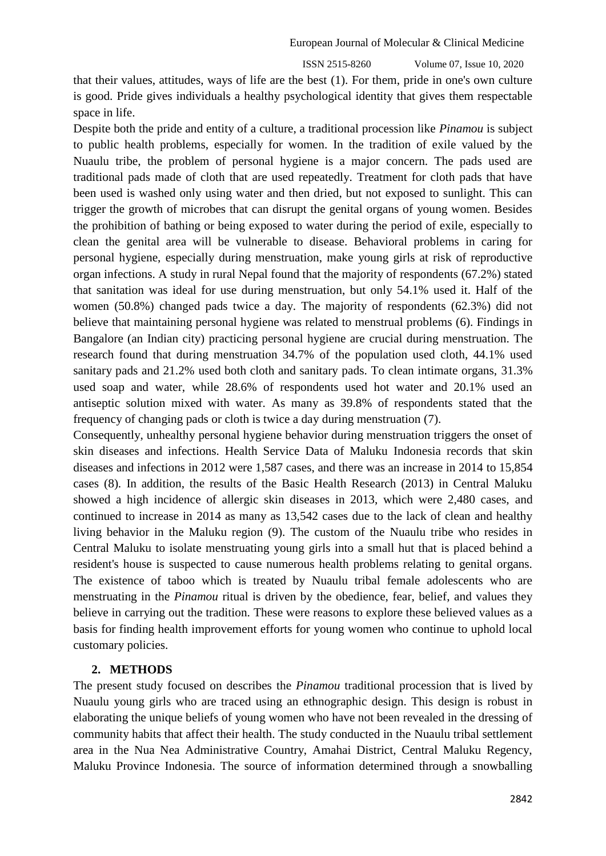ISSN 2515-8260 Volume 07, Issue 10, 2020

that their values, attitudes, ways of life are the best (1). For them, pride in one's own culture is good. Pride gives individuals a healthy psychological identity that gives them respectable space in life.

Despite both the pride and entity of a culture, a traditional procession like *Pinamou* is subject to public health problems, especially for women. In the tradition of exile valued by the Nuaulu tribe, the problem of personal hygiene is a major concern. The pads used are traditional pads made of cloth that are used repeatedly. Treatment for cloth pads that have been used is washed only using water and then dried, but not exposed to sunlight. This can trigger the growth of microbes that can disrupt the genital organs of young women. Besides the prohibition of bathing or being exposed to water during the period of exile, especially to clean the genital area will be vulnerable to disease. Behavioral problems in caring for personal hygiene, especially during menstruation, make young girls at risk of reproductive organ infections. A study in rural Nepal found that the majority of respondents (67.2%) stated that sanitation was ideal for use during menstruation, but only 54.1% used it. Half of the women (50.8%) changed pads twice a day. The majority of respondents (62.3%) did not believe that maintaining personal hygiene was related to menstrual problems (6). Findings in Bangalore (an Indian city) practicing personal hygiene are crucial during menstruation. The research found that during menstruation 34.7% of the population used cloth, 44.1% used sanitary pads and 21.2% used both cloth and sanitary pads. To clean intimate organs, 31.3% used soap and water, while 28.6% of respondents used hot water and 20.1% used an antiseptic solution mixed with water. As many as 39.8% of respondents stated that the frequency of changing pads or cloth is twice a day during menstruation (7).

Consequently, unhealthy personal hygiene behavior during menstruation triggers the onset of skin diseases and infections. Health Service Data of Maluku Indonesia records that skin diseases and infections in 2012 were 1,587 cases, and there was an increase in 2014 to 15,854 cases (8). In addition, the results of the Basic Health Research (2013) in Central Maluku showed a high incidence of allergic skin diseases in 2013, which were 2,480 cases, and continued to increase in 2014 as many as 13,542 cases due to the lack of clean and healthy living behavior in the Maluku region (9). The custom of the Nuaulu tribe who resides in Central Maluku to isolate menstruating young girls into a small hut that is placed behind a resident's house is suspected to cause numerous health problems relating to genital organs. The existence of taboo which is treated by Nuaulu tribal female adolescents who are menstruating in the *Pinamou* ritual is driven by the obedience, fear, belief, and values they believe in carrying out the tradition. These were reasons to explore these believed values as a basis for finding health improvement efforts for young women who continue to uphold local customary policies.

## **2. METHODS**

The present study focused on describes the *Pinamou* traditional procession that is lived by Nuaulu young girls who are traced using an ethnographic design. This design is robust in elaborating the unique beliefs of young women who have not been revealed in the dressing of community habits that affect their health. The study conducted in the Nuaulu tribal settlement area in the Nua Nea Administrative Country, Amahai District, Central Maluku Regency, Maluku Province Indonesia. The source of information determined through a snowballing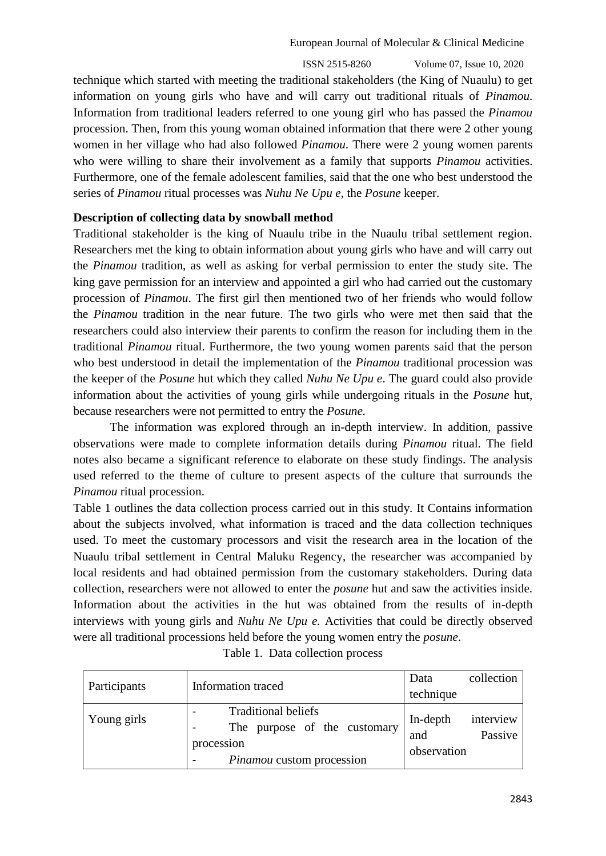ISSN 2515-8260 Volume 07, Issue 10, 2020

technique which started with meeting the traditional stakeholders (the King of Nuaulu) to get information on young girls who have and will carry out traditional rituals of *Pinamou*. Information from traditional leaders referred to one young girl who has passed the *Pinamou* procession. Then, from this young woman obtained information that there were 2 other young women in her village who had also followed *Pinamou*. There were 2 young women parents who were willing to share their involvement as a family that supports *Pinamou* activities. Furthermore, one of the female adolescent families, said that the one who best understood the series of *Pinamou* ritual processes was *Nuhu Ne Upu e*, the *Posune* keeper.

# **Description of collecting data by snowball method**

Traditional stakeholder is the king of Nuaulu tribe in the Nuaulu tribal settlement region. Researchers met the king to obtain information about young girls who have and will carry out the *Pinamou* tradition, as well as asking for verbal permission to enter the study site. The king gave permission for an interview and appointed a girl who had carried out the customary procession of *Pinamou*. The first girl then mentioned two of her friends who would follow the *Pinamou* tradition in the near future. The two girls who were met then said that the researchers could also interview their parents to confirm the reason for including them in the traditional *Pinamou* ritual. Furthermore, the two young women parents said that the person who best understood in detail the implementation of the *Pinamou* traditional procession was the keeper of the *Posune* hut which they called *Nuhu Ne Upu e*. The guard could also provide information about the activities of young girls while undergoing rituals in the *Posune* hut, because researchers were not permitted to entry the *Posune.* 

The information was explored through an in-depth interview. In addition, passive observations were made to complete information details during *Pinamou* ritual. The field notes also became a significant reference to elaborate on these study findings. The analysis used referred to the theme of culture to present aspects of the culture that surrounds the *Pinamou* ritual procession.

Table 1 outlines the data collection process carried out in this study. It Contains information about the subjects involved, what information is traced and the data collection techniques used. To meet the customary processors and visit the research area in the location of the Nuaulu tribal settlement in Central Maluku Regency, the researcher was accompanied by local residents and had obtained permission from the customary stakeholders. During data collection, researchers were not allowed to enter the *posune* hut and saw the activities inside. Information about the activities in the hut was obtained from the results of in-depth interviews with young girls and *Nuhu Ne Upu e.* Activities that could be directly observed were all traditional processions held before the young women entry the *posune*.

| Participants | Information traced                                                                                    | Data                           | collection           |
|--------------|-------------------------------------------------------------------------------------------------------|--------------------------------|----------------------|
|              |                                                                                                       | technique                      |                      |
| Young girls  | <b>Traditional beliefs</b><br>The purpose of the customary<br>procession<br>Pinamou custom procession | In-depth<br>and<br>observation | interview<br>Passive |

## Table 1. Data collection process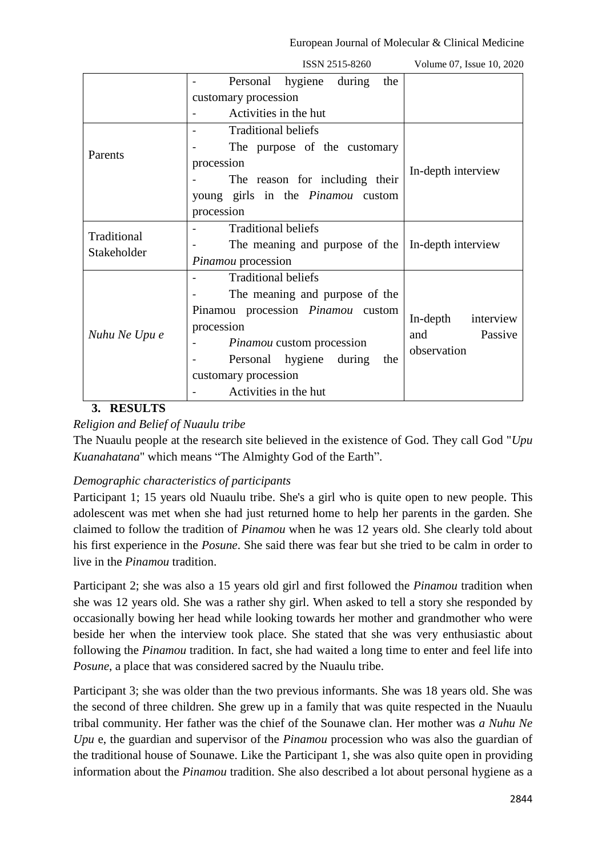|                            | ISSN 2515-8260                           | Volume 07, Issue 10, 2020 |  |
|----------------------------|------------------------------------------|---------------------------|--|
|                            | during<br>the<br>Personal hygiene        |                           |  |
|                            | customary procession                     |                           |  |
|                            | Activities in the hut                    |                           |  |
|                            | <b>Traditional beliefs</b>               |                           |  |
|                            | The purpose of the customary             |                           |  |
| Parents                    | procession                               | In-depth interview        |  |
|                            | The reason for including their           |                           |  |
|                            | young girls in the <i>Pinamou</i> custom |                           |  |
|                            | procession                               |                           |  |
| Traditional<br>Stakeholder | <b>Traditional beliefs</b>               |                           |  |
|                            | The meaning and purpose of the           | In-depth interview        |  |
|                            | Pinamou procession                       |                           |  |
|                            | <b>Traditional beliefs</b>               |                           |  |
|                            | The meaning and purpose of the           |                           |  |
| Nuhu Ne Upu e              | Pinamou procession Pinamou custom        | interview<br>In-depth     |  |
|                            | procession                               | Passive<br>and            |  |
|                            | Pinamou custom procession                | observation               |  |
|                            | Personal hygiene<br>during the           |                           |  |
|                            | customary procession                     |                           |  |
|                            | Activities in the hut                    |                           |  |

**3. RESULTS**

# *Religion and Belief of Nuaulu tribe*

The Nuaulu people at the research site believed in the existence of God. They call God "*Upu Kuanahatana*" which means "The Almighty God of the Earth".

# *Demographic characteristics of participants*

Participant 1; 15 years old Nuaulu tribe. She's a girl who is quite open to new people. This adolescent was met when she had just returned home to help her parents in the garden. She claimed to follow the tradition of *Pinamou* when he was 12 years old. She clearly told about his first experience in the *Posune*. She said there was fear but she tried to be calm in order to live in the *Pinamou* tradition.

Participant 2; she was also a 15 years old girl and first followed the *Pinamou* tradition when she was 12 years old. She was a rather shy girl. When asked to tell a story she responded by occasionally bowing her head while looking towards her mother and grandmother who were beside her when the interview took place. She stated that she was very enthusiastic about following the *Pinamou* tradition. In fact, she had waited a long time to enter and feel life into *Posune*, a place that was considered sacred by the Nuaulu tribe.

Participant 3; she was older than the two previous informants. She was 18 years old. She was the second of three children. She grew up in a family that was quite respected in the Nuaulu tribal community. Her father was the chief of the Sounawe clan. Her mother was *a Nuhu Ne Upu* e, the guardian and supervisor of the *Pinamou* procession who was also the guardian of the traditional house of Sounawe. Like the Participant 1, she was also quite open in providing information about the *Pinamou* tradition. She also described a lot about personal hygiene as a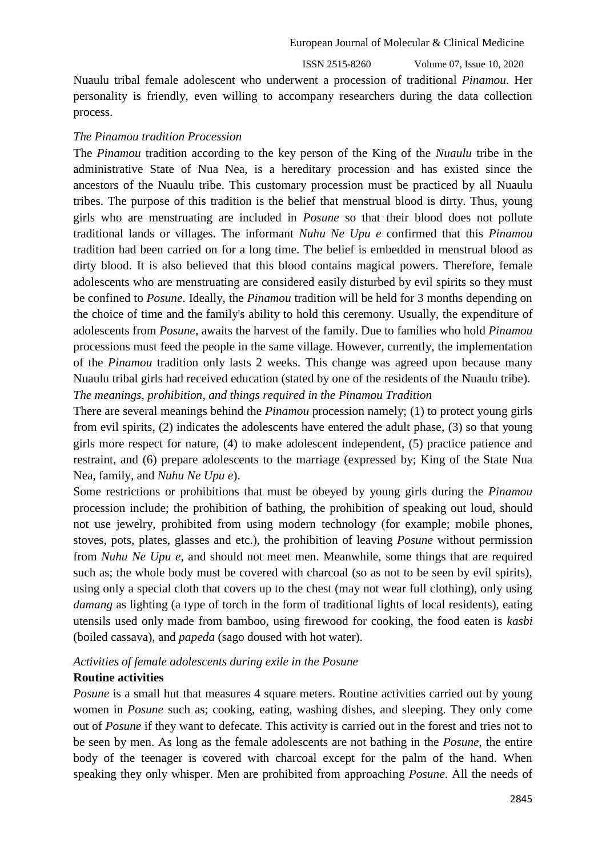ISSN 2515-8260 Volume 07, Issue 10, 2020

Nuaulu tribal female adolescent who underwent a procession of traditional *Pinamou*. Her personality is friendly, even willing to accompany researchers during the data collection process.

#### *The Pinamou tradition Procession*

The *Pinamou* tradition according to the key person of the King of the *Nuaulu* tribe in the administrative State of Nua Nea, is a hereditary procession and has existed since the ancestors of the Nuaulu tribe. This customary procession must be practiced by all Nuaulu tribes. The purpose of this tradition is the belief that menstrual blood is dirty. Thus, young girls who are menstruating are included in *Posune* so that their blood does not pollute traditional lands or villages. The informant *Nuhu Ne Upu e* confirmed that this *Pinamou* tradition had been carried on for a long time. The belief is embedded in menstrual blood as dirty blood. It is also believed that this blood contains magical powers. Therefore, female adolescents who are menstruating are considered easily disturbed by evil spirits so they must be confined to *Posune*. Ideally, the *Pinamou* tradition will be held for 3 months depending on the choice of time and the family's ability to hold this ceremony. Usually, the expenditure of adolescents from *Posune*, awaits the harvest of the family. Due to families who hold *Pinamou* processions must feed the people in the same village. However, currently, the implementation of the *Pinamou* tradition only lasts 2 weeks. This change was agreed upon because many Nuaulu tribal girls had received education (stated by one of the residents of the Nuaulu tribe). *The meanings, prohibition, and things required in the Pinamou Tradition*

There are several meanings behind the *Pinamou* procession namely; (1) to protect young girls from evil spirits, (2) indicates the adolescents have entered the adult phase, (3) so that young girls more respect for nature, (4) to make adolescent independent, (5) practice patience and restraint, and (6) prepare adolescents to the marriage (expressed by; King of the State Nua Nea, family, and *Nuhu Ne Upu e*).

Some restrictions or prohibitions that must be obeyed by young girls during the *Pinamou* procession include; the prohibition of bathing, the prohibition of speaking out loud, should not use jewelry, prohibited from using modern technology (for example; mobile phones, stoves, pots, plates, glasses and etc.), the prohibition of leaving *Posune* without permission from *Nuhu Ne Upu e*, and should not meet men. Meanwhile, some things that are required such as; the whole body must be covered with charcoal (so as not to be seen by evil spirits), using only a special cloth that covers up to the chest (may not wear full clothing), only using *damang* as lighting (a type of torch in the form of traditional lights of local residents), eating utensils used only made from bamboo, using firewood for cooking, the food eaten is *kasbi* (boiled cassava), and *papeda* (sago doused with hot water).

#### *Activities of female adolescents during exile in the Posune*

#### **Routine activities**

*Posune* is a small hut that measures 4 square meters. Routine activities carried out by young women in *Posune* such as; cooking, eating, washing dishes, and sleeping. They only come out of *Posune* if they want to defecate. This activity is carried out in the forest and tries not to be seen by men. As long as the female adolescents are not bathing in the *Posune*, the entire body of the teenager is covered with charcoal except for the palm of the hand. When speaking they only whisper. Men are prohibited from approaching *Posune*. All the needs of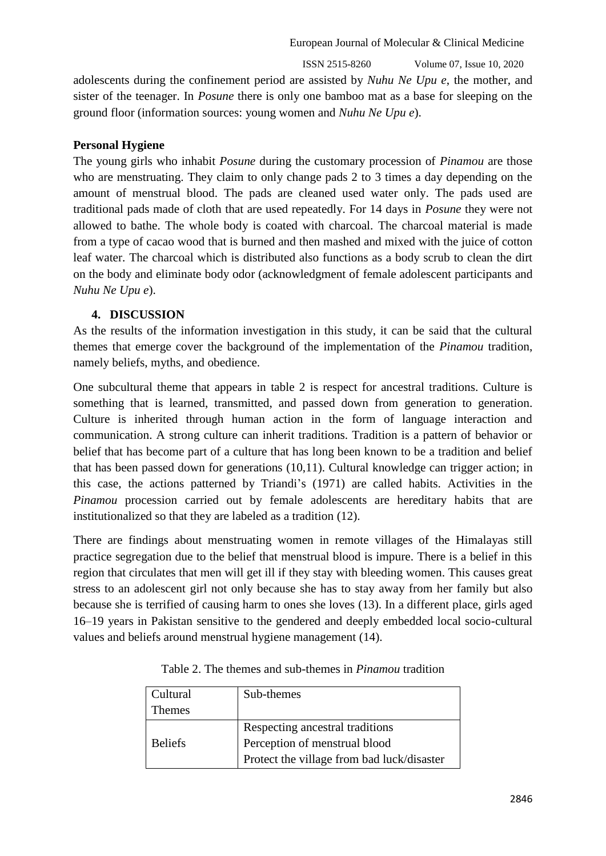ISSN 2515-8260 Volume 07, Issue 10, 2020

adolescents during the confinement period are assisted by *Nuhu Ne Upu e*, the mother, and sister of the teenager. In *Posune* there is only one bamboo mat as a base for sleeping on the ground floor (information sources: young women and *Nuhu Ne Upu e*).

# **Personal Hygiene**

The young girls who inhabit *Posune* during the customary procession of *Pinamou* are those who are menstruating. They claim to only change pads 2 to 3 times a day depending on the amount of menstrual blood. The pads are cleaned used water only. The pads used are traditional pads made of cloth that are used repeatedly. For 14 days in *Posune* they were not allowed to bathe. The whole body is coated with charcoal. The charcoal material is made from a type of cacao wood that is burned and then mashed and mixed with the juice of cotton leaf water. The charcoal which is distributed also functions as a body scrub to clean the dirt on the body and eliminate body odor (acknowledgment of female adolescent participants and *Nuhu Ne Upu e*).

# **4. DISCUSSION**

As the results of the information investigation in this study, it can be said that the cultural themes that emerge cover the background of the implementation of the *Pinamou* tradition, namely beliefs, myths, and obedience.

One subcultural theme that appears in table 2 is respect for ancestral traditions. Culture is something that is learned, transmitted, and passed down from generation to generation. Culture is inherited through human action in the form of language interaction and communication. A strong culture can inherit traditions. Tradition is a pattern of behavior or belief that has become part of a culture that has long been known to be a tradition and belief that has been passed down for generations (10,11). Cultural knowledge can trigger action; in this case, the actions patterned by Triandi's (1971) are called habits. Activities in the *Pinamou* procession carried out by female adolescents are hereditary habits that are institutionalized so that they are labeled as a tradition (12).

There are findings about menstruating women in remote villages of the Himalayas still practice segregation due to the belief that menstrual blood is impure. There is a belief in this region that circulates that men will get ill if they stay with bleeding women. This causes great stress to an adolescent girl not only because she has to stay away from her family but also because she is terrified of causing harm to ones she loves (13). In a different place, girls aged 16–19 years in Pakistan sensitive to the gendered and deeply embedded local socio-cultural values and beliefs around menstrual hygiene management (14).

| Cultural       | Sub-themes                                 |
|----------------|--------------------------------------------|
| <b>Themes</b>  |                                            |
|                | Respecting ancestral traditions            |
| <b>Beliefs</b> | Perception of menstrual blood              |
|                | Protect the village from bad luck/disaster |

Table 2. The themes and sub-themes in *Pinamou* tradition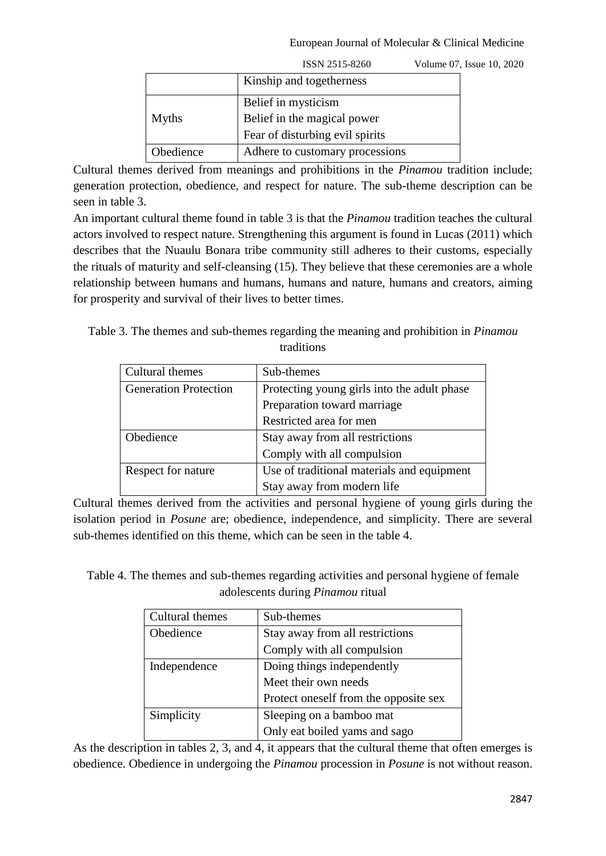|              | ISSN 2515-8260                  | Volume 07, Issue 10, 2020 |
|--------------|---------------------------------|---------------------------|
|              | Kinship and togetherness        |                           |
|              | Belief in mysticism             |                           |
| <b>Myths</b> | Belief in the magical power     |                           |
|              | Fear of disturbing evil spirits |                           |
| Obedience    | Adhere to customary processions |                           |

Cultural themes derived from meanings and prohibitions in the *Pinamou* tradition include; generation protection, obedience, and respect for nature. The sub-theme description can be seen in table 3.

An important cultural theme found in table 3 is that the *Pinamou* tradition teaches the cultural actors involved to respect nature. Strengthening this argument is found in Lucas (2011) which describes that the Nuaulu Bonara tribe community still adheres to their customs, especially the rituals of maturity and self-cleansing (15). They believe that these ceremonies are a whole relationship between humans and humans, humans and nature, humans and creators, aiming for prosperity and survival of their lives to better times.

Table 3. The themes and sub-themes regarding the meaning and prohibition in *Pinamou*  traditions

| Cultural themes              | Sub-themes                                  |
|------------------------------|---------------------------------------------|
| <b>Generation Protection</b> | Protecting young girls into the adult phase |
|                              | Preparation toward marriage                 |
|                              | Restricted area for men                     |
| Obedience                    | Stay away from all restrictions             |
|                              | Comply with all compulsion                  |
| Respect for nature           | Use of traditional materials and equipment  |
|                              | Stay away from modern life                  |

Cultural themes derived from the activities and personal hygiene of young girls during the isolation period in *Posune* are; obedience, independence, and simplicity. There are several sub-themes identified on this theme, which can be seen in the table 4.

Table 4. The themes and sub-themes regarding activities and personal hygiene of female adolescents during *Pinamou* ritual

| Cultural themes | Sub-themes                            |
|-----------------|---------------------------------------|
| Obedience       | Stay away from all restrictions       |
|                 | Comply with all compulsion            |
| Independence    | Doing things independently            |
|                 | Meet their own needs                  |
|                 | Protect oneself from the opposite sex |
| Simplicity      | Sleeping on a bamboo mat              |
|                 | Only eat boiled yams and sago         |

As the description in tables 2, 3, and 4, it appears that the cultural theme that often emerges is obedience. Obedience in undergoing the *Pinamou* procession in *Posune* is not without reason.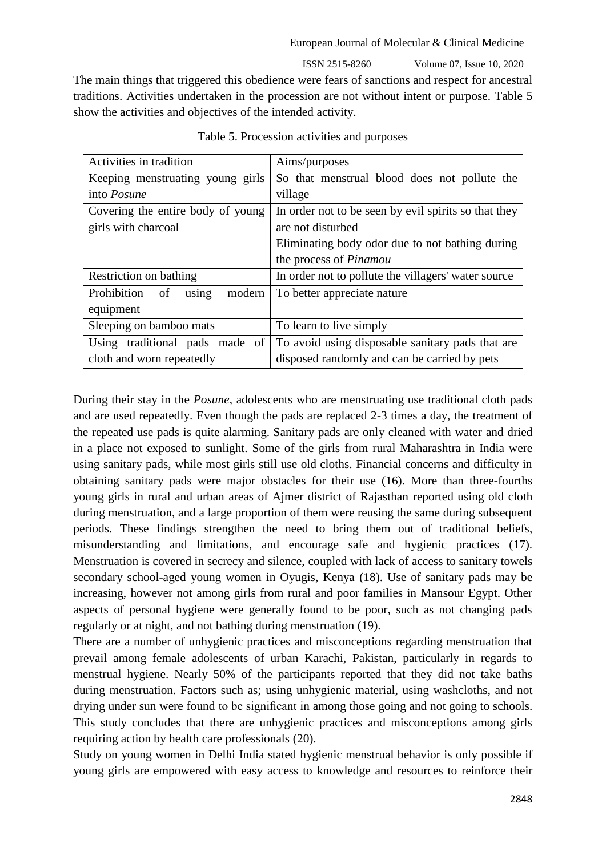ISSN 2515-8260 Volume 07, Issue 10, 2020

The main things that triggered this obedience were fears of sanctions and respect for ancestral traditions. Activities undertaken in the procession are not without intent or purpose. Table 5 show the activities and objectives of the intended activity.

| Activities in tradition              | Aims/purposes                                        |  |
|--------------------------------------|------------------------------------------------------|--|
| Keeping menstruating young girls     | So that menstrual blood does not pollute the         |  |
| into <i>Posune</i>                   | village                                              |  |
| Covering the entire body of young    | In order not to be seen by evil spirits so that they |  |
| girls with charcoal                  | are not disturbed                                    |  |
|                                      | Eliminating body odor due to not bathing during      |  |
|                                      | the process of <i>Pinamou</i>                        |  |
| Restriction on bathing               | In order not to pollute the villagers' water source  |  |
| Prohibition<br>modern<br>of<br>using | To better appreciate nature                          |  |
| equipment                            |                                                      |  |
| Sleeping on bamboo mats              | To learn to live simply                              |  |
| Using traditional pads made of       | To avoid using disposable sanitary pads that are     |  |
| cloth and worn repeatedly            | disposed randomly and can be carried by pets         |  |

Table 5. Procession activities and purposes

During their stay in the *Posune*, adolescents who are menstruating use traditional cloth pads and are used repeatedly. Even though the pads are replaced 2-3 times a day, the treatment of the repeated use pads is quite alarming. Sanitary pads are only cleaned with water and dried in a place not exposed to sunlight. Some of the girls from rural Maharashtra in India were using sanitary pads, while most girls still use old cloths. Financial concerns and difficulty in obtaining sanitary pads were major obstacles for their use (16). More than three-fourths young girls in rural and urban areas of Ajmer district of Rajasthan reported using old cloth during menstruation, and a large proportion of them were reusing the same during subsequent periods. These findings strengthen the need to bring them out of traditional beliefs, misunderstanding and limitations, and encourage safe and hygienic practices (17). Menstruation is covered in secrecy and silence, coupled with lack of access to sanitary towels secondary school-aged young women in Oyugis, Kenya (18). Use of sanitary pads may be increasing, however not among girls from rural and poor families in Mansour Egypt. Other aspects of personal hygiene were generally found to be poor, such as not changing pads regularly or at night, and not bathing during menstruation (19).

There are a number of unhygienic practices and misconceptions regarding menstruation that prevail among female adolescents of urban Karachi, Pakistan, particularly in regards to menstrual hygiene. Nearly 50% of the participants reported that they did not take baths during menstruation. Factors such as; using unhygienic material, using washcloths, and not drying under sun were found to be significant in among those going and not going to schools. This study concludes that there are unhygienic practices and misconceptions among girls requiring action by health care professionals (20).

Study on young women in Delhi India stated hygienic menstrual behavior is only possible if young girls are empowered with easy access to knowledge and resources to reinforce their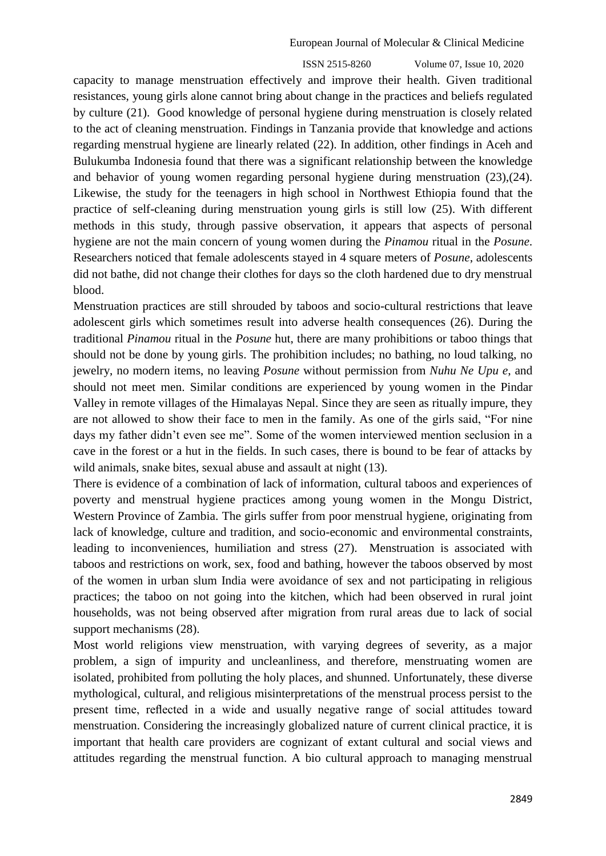ISSN 2515-8260 Volume 07, Issue 10, 2020

capacity to manage menstruation effectively and improve their health. Given traditional resistances, young girls alone cannot bring about change in the practices and beliefs regulated by culture (21). Good knowledge of personal hygiene during menstruation is closely related to the act of cleaning menstruation. Findings in Tanzania provide that knowledge and actions regarding menstrual hygiene are linearly related (22). In addition, other findings in Aceh and Bulukumba Indonesia found that there was a significant relationship between the knowledge and behavior of young women regarding personal hygiene during menstruation (23),(24). Likewise, the study for the teenagers in high school in Northwest Ethiopia found that the practice of self-cleaning during menstruation young girls is still low (25). With different methods in this study, through passive observation, it appears that aspects of personal hygiene are not the main concern of young women during the *Pinamou* ritual in the *Posune*. Researchers noticed that female adolescents stayed in 4 square meters of *Posune*, adolescents did not bathe, did not change their clothes for days so the cloth hardened due to dry menstrual blood.

Menstruation practices are still shrouded by taboos and socio-cultural restrictions that leave adolescent girls which sometimes result into adverse health consequences (26). During the traditional *Pinamou* ritual in the *Posune* hut, there are many prohibitions or taboo things that should not be done by young girls. The prohibition includes; no bathing, no loud talking, no jewelry, no modern items, no leaving *Posune* without permission from *Nuhu Ne Upu e*, and should not meet men. Similar conditions are experienced by young women in the Pindar Valley in remote villages of the Himalayas Nepal. Since they are seen as ritually impure, they are not allowed to show their face to men in the family. As one of the girls said, "For nine days my father didn't even see me". Some of the women interviewed mention seclusion in a cave in the forest or a hut in the fields. In such cases, there is bound to be fear of attacks by wild animals, snake bites, sexual abuse and assault at night (13).

There is evidence of a combination of lack of information, cultural taboos and experiences of poverty and menstrual hygiene practices among young women in the Mongu District, Western Province of Zambia. The girls suffer from poor menstrual hygiene, originating from lack of knowledge, culture and tradition, and socio-economic and environmental constraints, leading to inconveniences, humiliation and stress (27). Menstruation is associated with taboos and restrictions on work, sex, food and bathing, however the taboos observed by most of the women in urban slum India were avoidance of sex and not participating in religious practices; the taboo on not going into the kitchen, which had been observed in rural joint households, was not being observed after migration from rural areas due to lack of social support mechanisms (28).

Most world religions view menstruation, with varying degrees of severity, as a major problem, a sign of impurity and uncleanliness, and therefore, menstruating women are isolated, prohibited from polluting the holy places, and shunned. Unfortunately, these diverse mythological, cultural, and religious misinterpretations of the menstrual process persist to the present time, reflected in a wide and usually negative range of social attitudes toward menstruation. Considering the increasingly globalized nature of current clinical practice, it is important that health care providers are cognizant of extant cultural and social views and attitudes regarding the menstrual function. A bio cultural approach to managing menstrual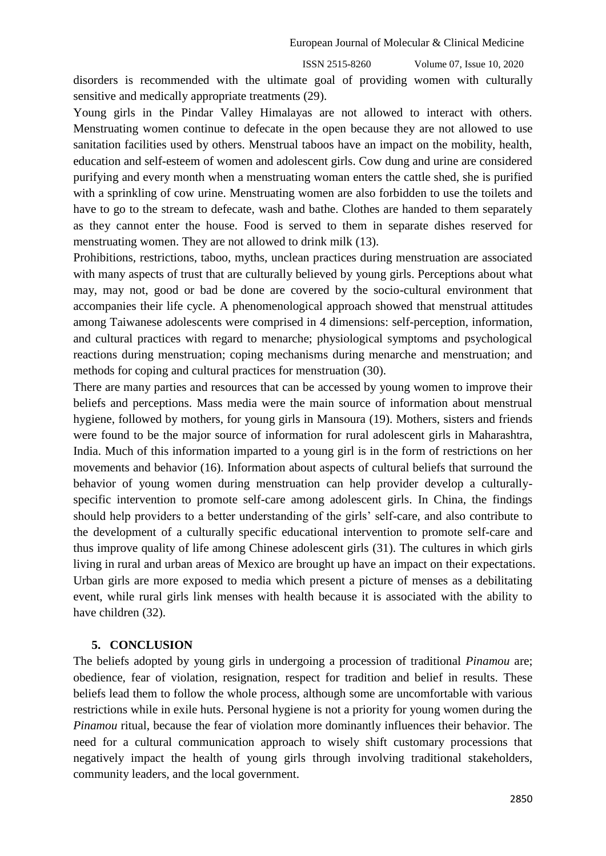disorders is recommended with the ultimate goal of providing women with culturally sensitive and medically appropriate treatments (29).

Young girls in the Pindar Valley Himalayas are not allowed to interact with others. Menstruating women continue to defecate in the open because they are not allowed to use sanitation facilities used by others. Menstrual taboos have an impact on the mobility, health, education and self-esteem of women and adolescent girls. Cow dung and urine are considered purifying and every month when a menstruating woman enters the cattle shed, she is purified with a sprinkling of cow urine. Menstruating women are also forbidden to use the toilets and have to go to the stream to defecate, wash and bathe. Clothes are handed to them separately as they cannot enter the house. Food is served to them in separate dishes reserved for menstruating women. They are not allowed to drink milk (13).

Prohibitions, restrictions, taboo, myths, unclean practices during menstruation are associated with many aspects of trust that are culturally believed by young girls. Perceptions about what may, may not, good or bad be done are covered by the socio-cultural environment that accompanies their life cycle. A phenomenological approach showed that menstrual attitudes among Taiwanese adolescents were comprised in 4 dimensions: self-perception, information, and cultural practices with regard to menarche; physiological symptoms and psychological reactions during menstruation; coping mechanisms during menarche and menstruation; and methods for coping and cultural practices for menstruation (30).

There are many parties and resources that can be accessed by young women to improve their beliefs and perceptions. Mass media were the main source of information about menstrual hygiene, followed by mothers, for young girls in Mansoura (19). Mothers, sisters and friends were found to be the major source of information for rural adolescent girls in Maharashtra, India. Much of this information imparted to a young girl is in the form of restrictions on her movements and behavior (16). Information about aspects of cultural beliefs that surround the behavior of young women during menstruation can help provider develop a culturallyspecific intervention to promote self-care among adolescent girls. In China, the findings should help providers to a better understanding of the girls' self-care, and also contribute to the development of a culturally specific educational intervention to promote self-care and thus improve quality of life among Chinese adolescent girls (31). The cultures in which girls living in rural and urban areas of Mexico are brought up have an impact on their expectations. Urban girls are more exposed to media which present a picture of menses as a debilitating event, while rural girls link menses with health because it is associated with the ability to have children (32).

#### **5. CONCLUSION**

The beliefs adopted by young girls in undergoing a procession of traditional *Pinamou* are; obedience, fear of violation, resignation, respect for tradition and belief in results. These beliefs lead them to follow the whole process, although some are uncomfortable with various restrictions while in exile huts. Personal hygiene is not a priority for young women during the *Pinamou* ritual, because the fear of violation more dominantly influences their behavior. The need for a cultural communication approach to wisely shift customary processions that negatively impact the health of young girls through involving traditional stakeholders, community leaders, and the local government.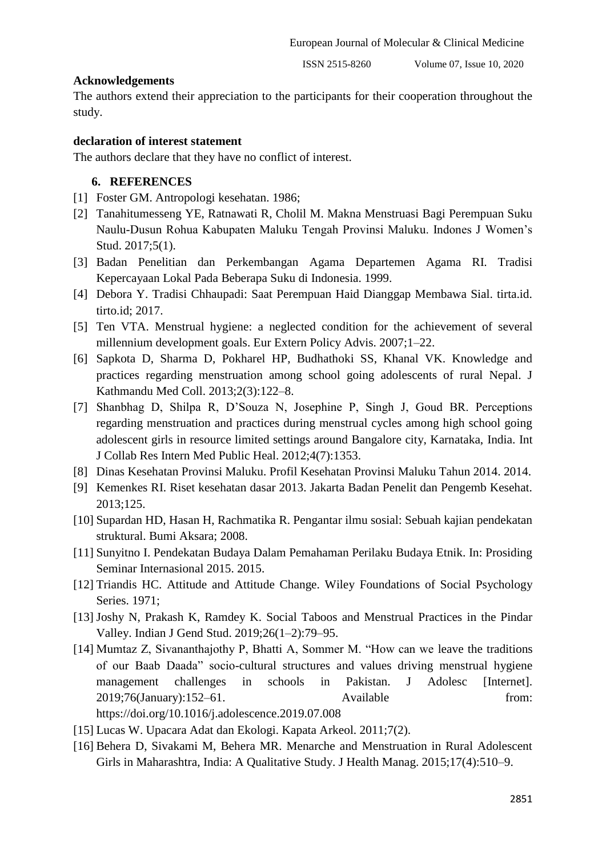## **Acknowledgements**

The authors extend their appreciation to the participants for their cooperation throughout the study.

# **declaration of interest statement**

The authors declare that they have no conflict of interest.

# **6. REFERENCES**

- [1] Foster GM. Antropologi kesehatan. 1986;
- [2] Tanahitumesseng YE, Ratnawati R, Cholil M. Makna Menstruasi Bagi Perempuan Suku Naulu-Dusun Rohua Kabupaten Maluku Tengah Provinsi Maluku. Indones J Women's Stud. 2017;5(1).
- [3] Badan Penelitian dan Perkembangan Agama Departemen Agama RI. Tradisi Kepercayaan Lokal Pada Beberapa Suku di Indonesia. 1999.
- [4] Debora Y. Tradisi Chhaupadi: Saat Perempuan Haid Dianggap Membawa Sial. tirta.id. tirto.id; 2017.
- [5] Ten VTA. Menstrual hygiene: a neglected condition for the achievement of several millennium development goals. Eur Extern Policy Advis. 2007;1–22.
- [6] Sapkota D, Sharma D, Pokharel HP, Budhathoki SS, Khanal VK. Knowledge and practices regarding menstruation among school going adolescents of rural Nepal. J Kathmandu Med Coll. 2013;2(3):122–8.
- [7] Shanbhag D, Shilpa R, D'Souza N, Josephine P, Singh J, Goud BR. Perceptions regarding menstruation and practices during menstrual cycles among high school going adolescent girls in resource limited settings around Bangalore city, Karnataka, India. Int J Collab Res Intern Med Public Heal. 2012;4(7):1353.
- [8] Dinas Kesehatan Provinsi Maluku. Profil Kesehatan Provinsi Maluku Tahun 2014. 2014.
- [9] Kemenkes RI. Riset kesehatan dasar 2013. Jakarta Badan Penelit dan Pengemb Kesehat. 2013;125.
- [10] Supardan HD, Hasan H, Rachmatika R. Pengantar ilmu sosial: Sebuah kajian pendekatan struktural. Bumi Aksara; 2008.
- [11] Sunyitno I. Pendekatan Budaya Dalam Pemahaman Perilaku Budaya Etnik. In: Prosiding Seminar Internasional 2015. 2015.
- [12] Triandis HC. Attitude and Attitude Change. Wiley Foundations of Social Psychology Series. 1971;
- [13] Joshy N, Prakash K, Ramdey K. Social Taboos and Menstrual Practices in the Pindar Valley. Indian J Gend Stud. 2019;26(1–2):79–95.
- [14] Mumtaz Z, Sivananthajothy P, Bhatti A, Sommer M. "How can we leave the traditions of our Baab Daada" socio-cultural structures and values driving menstrual hygiene management challenges in schools in Pakistan. J Adolesc [Internet]. 2019;76(January):152–61. Available from: https://doi.org/10.1016/j.adolescence.2019.07.008
- [15] Lucas W. Upacara Adat dan Ekologi. Kapata Arkeol. 2011;7(2).
- [16] Behera D, Sivakami M, Behera MR. Menarche and Menstruation in Rural Adolescent Girls in Maharashtra, India: A Qualitative Study. J Health Manag. 2015;17(4):510–9.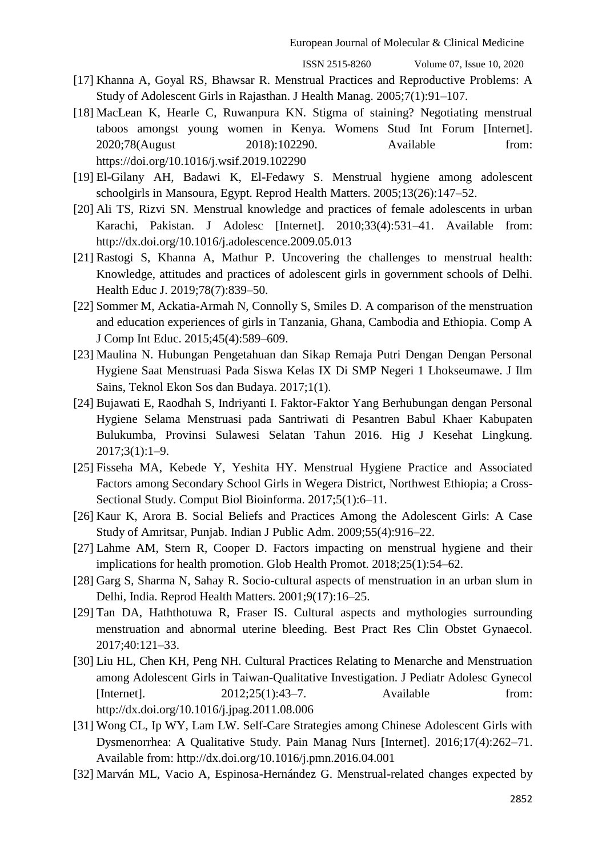- [17] Khanna A, Goyal RS, Bhawsar R. Menstrual Practices and Reproductive Problems: A Study of Adolescent Girls in Rajasthan. J Health Manag. 2005;7(1):91–107.
- [18] MacLean K, Hearle C, Ruwanpura KN. Stigma of staining? Negotiating menstrual taboos amongst young women in Kenya. Womens Stud Int Forum [Internet]. 2020;78(August 2018):102290. Available from: https://doi.org/10.1016/j.wsif.2019.102290
- [19] El-Gilany AH, Badawi K, El-Fedawy S. Menstrual hygiene among adolescent schoolgirls in Mansoura, Egypt. Reprod Health Matters. 2005;13(26):147–52.
- [20] Ali TS, Rizvi SN. Menstrual knowledge and practices of female adolescents in urban Karachi, Pakistan. J Adolesc [Internet]. 2010;33(4):531–41. Available from: http://dx.doi.org/10.1016/j.adolescence.2009.05.013
- [21] Rastogi S, Khanna A, Mathur P. Uncovering the challenges to menstrual health: Knowledge, attitudes and practices of adolescent girls in government schools of Delhi. Health Educ J. 2019;78(7):839–50.
- [22] Sommer M, Ackatia-Armah N, Connolly S, Smiles D. A comparison of the menstruation and education experiences of girls in Tanzania, Ghana, Cambodia and Ethiopia. Comp A J Comp Int Educ. 2015;45(4):589–609.
- [23] Maulina N. Hubungan Pengetahuan dan Sikap Remaja Putri Dengan Dengan Personal Hygiene Saat Menstruasi Pada Siswa Kelas IX Di SMP Negeri 1 Lhokseumawe. J Ilm Sains, Teknol Ekon Sos dan Budaya. 2017;1(1).
- [24] Bujawati E, Raodhah S, Indriyanti I. Faktor-Faktor Yang Berhubungan dengan Personal Hygiene Selama Menstruasi pada Santriwati di Pesantren Babul Khaer Kabupaten Bulukumba, Provinsi Sulawesi Selatan Tahun 2016. Hig J Kesehat Lingkung. 2017;3(1):1–9.
- [25] Fisseha MA, Kebede Y, Yeshita HY. Menstrual Hygiene Practice and Associated Factors among Secondary School Girls in Wegera District, Northwest Ethiopia; a Cross-Sectional Study. Comput Biol Bioinforma. 2017;5(1):6–11.
- [26] Kaur K, Arora B. Social Beliefs and Practices Among the Adolescent Girls: A Case Study of Amritsar, Punjab. Indian J Public Adm. 2009;55(4):916–22.
- [27] Lahme AM, Stern R, Cooper D. Factors impacting on menstrual hygiene and their implications for health promotion. Glob Health Promot. 2018;25(1):54–62.
- [28] Garg S, Sharma N, Sahay R. Socio-cultural aspects of menstruation in an urban slum in Delhi, India. Reprod Health Matters. 2001;9(17):16–25.
- [29] Tan DA, Haththotuwa R, Fraser IS. Cultural aspects and mythologies surrounding menstruation and abnormal uterine bleeding. Best Pract Res Clin Obstet Gynaecol. 2017;40:121–33.
- [30] Liu HL, Chen KH, Peng NH. Cultural Practices Relating to Menarche and Menstruation among Adolescent Girls in Taiwan-Qualitative Investigation. J Pediatr Adolesc Gynecol [Internet]. 2012;25(1):43–7. Available from: http://dx.doi.org/10.1016/j.jpag.2011.08.006
- [31] Wong CL, Ip WY, Lam LW. Self-Care Strategies among Chinese Adolescent Girls with Dysmenorrhea: A Qualitative Study. Pain Manag Nurs [Internet]. 2016;17(4):262–71. Available from: http://dx.doi.org/10.1016/j.pmn.2016.04.001
- [32] Marván ML, Vacio A, Espinosa-Hernández G. Menstrual-related changes expected by